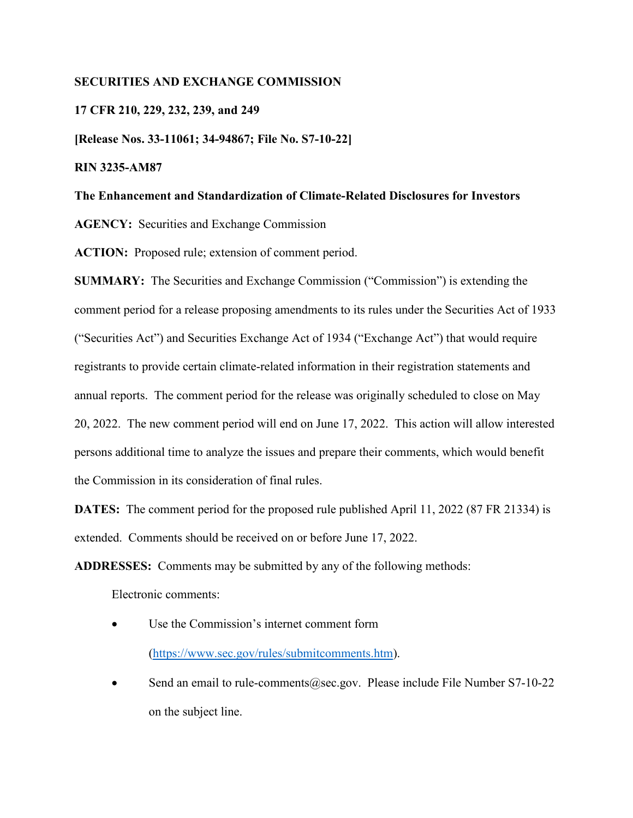## **SECURITIES AND EXCHANGE COMMISSION**

## **17 CFR 210, 229, 232, 239, and 249**

**[Release Nos. 33-11061; 34-94867; File No. S7-10-22]** 

## **RIN 3235-AM87**

## **The Enhancement and Standardization of Climate-Related Disclosures for Investors**

**AGENCY:** Securities and Exchange Commission

**ACTION:** Proposed rule; extension of comment period.

**SUMMARY:** The Securities and Exchange Commission ("Commission") is extending the comment period for a release proposing amendments to its rules under the Securities Act of 1933 ("Securities Act") and Securities Exchange Act of 1934 ("Exchange Act") that would require registrants to provide certain climate-related information in their registration statements and annual reports. The comment period for the release was originally scheduled to close on May 20, 2022. The new comment period will end on June 17, 2022. This action will allow interested persons additional time to analyze the issues and prepare their comments, which would benefit the Commission in its consideration of final rules.

**DATES:** The comment period for the proposed rule published April 11, 2022 (87 FR 21334) is extended. Comments should be received on or before June 17, 2022.

**ADDRESSES:** Comments may be submitted by any of the following methods:

Electronic comments:

- Use the Commission's internet comment form [\(https://www.sec.gov/rules/submitcomments.htm\)](https://www.sec.gov/rules/submitcomments.htm).
- Send an email to rule-comments  $@sec.gov$ . Please include File Number S7-10-22 on the subject line.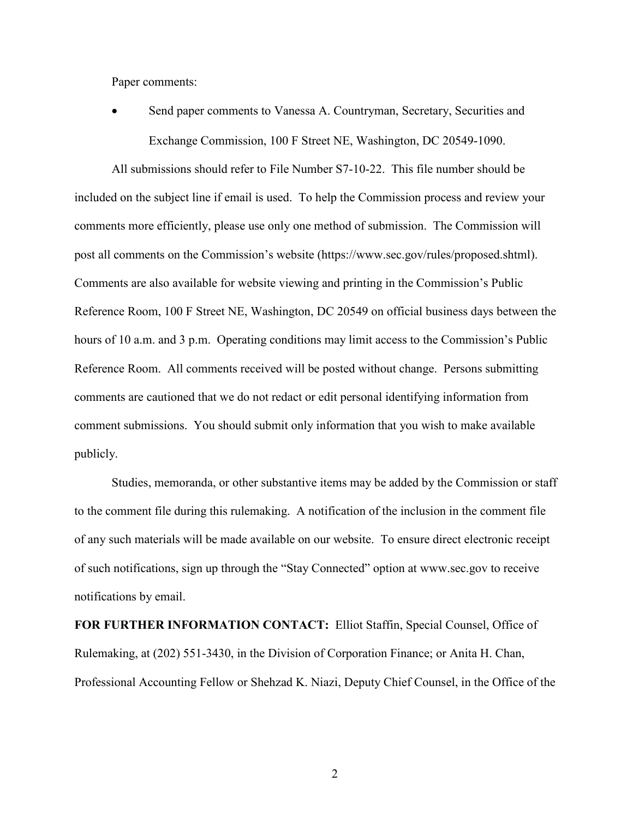Paper comments:

Send paper comments to Vanessa A. Countryman, Secretary, Securities and Exchange Commission, 100 F Street NE, Washington, DC 20549-1090.

All submissions should refer to File Number S7-10-22. This file number should be included on the subject line if email is used. To help the Commission process and review your comments more efficiently, please use only one method of submission. The Commission will post all comments on the Commission's website (https://www.sec.gov/rules/proposed.shtml). Comments are also available for website viewing and printing in the Commission's Public Reference Room, 100 F Street NE, Washington, DC 20549 on official business days between the hours of 10 a.m. and 3 p.m. Operating conditions may limit access to the Commission's Public Reference Room. All comments received will be posted without change. Persons submitting comments are cautioned that we do not redact or edit personal identifying information from comment submissions. You should submit only information that you wish to make available publicly.

Studies, memoranda, or other substantive items may be added by the Commission or staff to the comment file during this rulemaking. A notification of the inclusion in the comment file of any such materials will be made available on our website. To ensure direct electronic receipt of such notifications, sign up through the "Stay Connected" option at www.sec.gov to receive notifications by email.

**FOR FURTHER INFORMATION CONTACT:** Elliot Staffin, Special Counsel, Office of Rulemaking, at (202) 551-3430, in the Division of Corporation Finance; or Anita H. Chan, Professional Accounting Fellow or Shehzad K. Niazi, Deputy Chief Counsel, in the Office of the